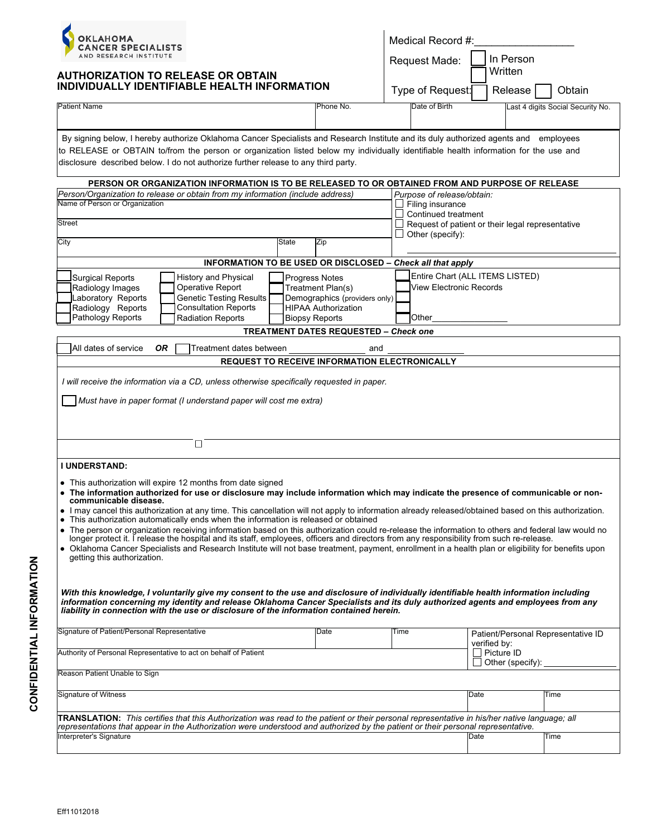

## **AUTHORIZATION TO RELEASE OR OBTAIN**

| Medical Record #: |             |
|-------------------|-------------|
| Request Made:     | l In Person |
|                   | Written     |
|                   |             |

| INDIVIDUALLY IDENTIFIABLE HEALTH INFORMATION                                                                                                                                                                                                                                                                                                                                                                                                                                         | Type of Request:                                    | Release                                          | Obtain                                         |                                   |  |  |  |
|--------------------------------------------------------------------------------------------------------------------------------------------------------------------------------------------------------------------------------------------------------------------------------------------------------------------------------------------------------------------------------------------------------------------------------------------------------------------------------------|-----------------------------------------------------|--------------------------------------------------|------------------------------------------------|-----------------------------------|--|--|--|
| Patient Name                                                                                                                                                                                                                                                                                                                                                                                                                                                                         | Phone No.                                           | Date of Birth                                    |                                                | Last 4 digits Social Security No. |  |  |  |
|                                                                                                                                                                                                                                                                                                                                                                                                                                                                                      |                                                     |                                                  |                                                |                                   |  |  |  |
| By signing below, I hereby authorize Oklahoma Cancer Specialists and Research Institute and its duly authorized agents and employees<br>to RELEASE or OBTAIN to/from the person or organization listed below my individually identifiable health information for the use and<br>disclosure described below. I do not authorize further release to any third party.                                                                                                                   |                                                     |                                                  |                                                |                                   |  |  |  |
| PERSON OR ORGANIZATION INFORMATION IS TO BE RELEASED TO OR OBTAINED FROM AND PURPOSE OF RELEASE                                                                                                                                                                                                                                                                                                                                                                                      |                                                     |                                                  |                                                |                                   |  |  |  |
| Person/Organization to release or obtain from my information (include address)<br>Purpose of release/obtain:                                                                                                                                                                                                                                                                                                                                                                         |                                                     |                                                  |                                                |                                   |  |  |  |
| Name of Person or Organization                                                                                                                                                                                                                                                                                                                                                                                                                                                       | Filing insurance<br>Continued treatment             |                                                  |                                                |                                   |  |  |  |
| <b>Street</b>                                                                                                                                                                                                                                                                                                                                                                                                                                                                        |                                                     | Request of patient or their legal representative |                                                |                                   |  |  |  |
| City<br>State                                                                                                                                                                                                                                                                                                                                                                                                                                                                        | Zip                                                 | Other (specify):                                 |                                                |                                   |  |  |  |
| INFORMATION TO BE USED OR DISCLOSED - Check all that apply                                                                                                                                                                                                                                                                                                                                                                                                                           |                                                     |                                                  |                                                |                                   |  |  |  |
| History and Physical<br><b>Surgical Reports</b>                                                                                                                                                                                                                                                                                                                                                                                                                                      | Progress Notes                                      |                                                  | Entire Chart (ALL ITEMS LISTED)                |                                   |  |  |  |
| Operative Report<br>Radiology Images                                                                                                                                                                                                                                                                                                                                                                                                                                                 | Treatment Plan(s)                                   | <b>View Electronic Records</b>                   |                                                |                                   |  |  |  |
| <b>Genetic Testing Results</b><br>Laboratory Reports                                                                                                                                                                                                                                                                                                                                                                                                                                 | Demographics (providers only)                       |                                                  |                                                |                                   |  |  |  |
| <b>Consultation Reports</b><br>Radiology Reports<br>Pathology Reports<br><b>Radiation Reports</b>                                                                                                                                                                                                                                                                                                                                                                                    | <b>HIPAA Authorization</b><br><b>Biopsy Reports</b> | Other                                            |                                                |                                   |  |  |  |
|                                                                                                                                                                                                                                                                                                                                                                                                                                                                                      | <b>TREATMENT DATES REQUESTED - Check one</b>        |                                                  |                                                |                                   |  |  |  |
| <b>OR</b><br>All dates of service<br>Treatment dates between<br>and                                                                                                                                                                                                                                                                                                                                                                                                                  |                                                     |                                                  |                                                |                                   |  |  |  |
| REQUEST TO RECEIVE INFORMATION ELECTRONICALLY                                                                                                                                                                                                                                                                                                                                                                                                                                        |                                                     |                                                  |                                                |                                   |  |  |  |
| I will receive the information via a CD, unless otherwise specifically requested in paper.                                                                                                                                                                                                                                                                                                                                                                                           |                                                     |                                                  |                                                |                                   |  |  |  |
| Must have in paper format (I understand paper will cost me extra)                                                                                                                                                                                                                                                                                                                                                                                                                    |                                                     |                                                  |                                                |                                   |  |  |  |
|                                                                                                                                                                                                                                                                                                                                                                                                                                                                                      |                                                     |                                                  |                                                |                                   |  |  |  |
|                                                                                                                                                                                                                                                                                                                                                                                                                                                                                      |                                                     |                                                  |                                                |                                   |  |  |  |
| $\Box$                                                                                                                                                                                                                                                                                                                                                                                                                                                                               |                                                     |                                                  |                                                |                                   |  |  |  |
| <b>I UNDERSTAND:</b>                                                                                                                                                                                                                                                                                                                                                                                                                                                                 |                                                     |                                                  |                                                |                                   |  |  |  |
| • This authorization will expire 12 months from date signed<br>• The information authorized for use or disclosure may include information which may indicate the presence of communicable or non-<br>communicable disease.<br>• I may cancel this authorization at any time. This cancellation will not apply to information already released/obtained based on this authorization.                                                                                                  |                                                     |                                                  |                                                |                                   |  |  |  |
| This authorization automatically ends when the information is released or obtained                                                                                                                                                                                                                                                                                                                                                                                                   |                                                     |                                                  |                                                |                                   |  |  |  |
| • The person or organization receiving information based on this authorization could re-release the information to others and federal law would no<br>longer protect it. I release the hospital and its staff, employees, officers and directors from any responsibility from such re-release.<br>• Oklahoma Cancer Specialists and Research Institute will not base treatment, payment, enrollment in a health plan or eligibility for benefits upon<br>getting this authorization. |                                                     |                                                  |                                                |                                   |  |  |  |
| With this knowledge, I voluntarily give my consent to the use and disclosure of individually identifiable health information including<br>information concerning my identity and release Oklahoma Cancer Specialists and its duly authorized agents and employees from any<br>liability in connection with the use or disclosure of the information contained herein.                                                                                                                |                                                     |                                                  |                                                |                                   |  |  |  |
| Signature of Patient/Personal Representative                                                                                                                                                                                                                                                                                                                                                                                                                                         | Date                                                | Time                                             | Patient/Personal Representative ID             |                                   |  |  |  |
| Authority of Personal Representative to act on behalf of Patient                                                                                                                                                                                                                                                                                                                                                                                                                     |                                                     |                                                  | verified by:<br>Picture ID<br>Other (specify): |                                   |  |  |  |
| Reason Patient Unable to Sign                                                                                                                                                                                                                                                                                                                                                                                                                                                        |                                                     |                                                  |                                                |                                   |  |  |  |
| <b>Signature of Witness</b>                                                                                                                                                                                                                                                                                                                                                                                                                                                          |                                                     |                                                  | Date                                           | Time                              |  |  |  |
| TRANSLATION: This certifies that this Authorization was read to the patient or their personal representative in his/her native language; all<br>representations that appear in the Authorization were understood and authorized by the patient or their personal representative.                                                                                                                                                                                                     |                                                     |                                                  |                                                |                                   |  |  |  |
| Interpreter's Signature                                                                                                                                                                                                                                                                                                                                                                                                                                                              |                                                     |                                                  | Date                                           | Time                              |  |  |  |